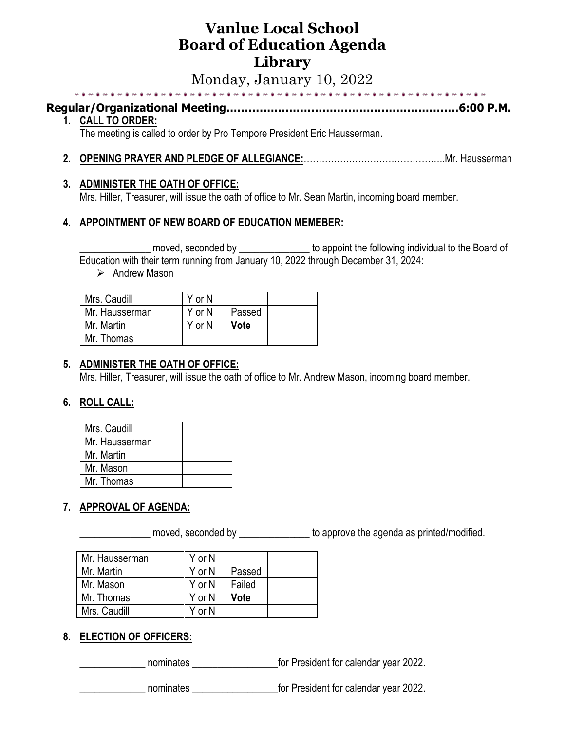# **Vanlue Local School Board of Education Agenda Library**

Monday, January 10, 2022 

# **Regular/Organizational Meeting………………………………………………………6:00 P.M.**

### **1. CALL TO ORDER:**

The meeting is called to order by Pro Tempore President Eric Hausserman.

**2. OPENING PRAYER AND PLEDGE OF ALLEGIANCE:**………………………………………..Mr. Hausserman

## **3. ADMINISTER THE OATH OF OFFICE:**

Mrs. Hiller, Treasurer, will issue the oath of office to Mr. Sean Martin, incoming board member.

# **4. APPOINTMENT OF NEW BOARD OF EDUCATION MEMEBER:**

moved, seconded by \_\_\_\_\_\_\_\_\_\_\_\_\_\_\_ to appoint the following individual to the Board of Education with their term running from January 10, 2022 through December 31, 2024:

➢ Andrew Mason

| Mrs. Caudill   | Y or N |             |  |
|----------------|--------|-------------|--|
| Mr. Hausserman | Y or N | Passed      |  |
| Mr. Martin     | Y or N | <b>Vote</b> |  |
| Mr. Thomas     |        |             |  |

# **5. ADMINISTER THE OATH OF OFFICE:**

Mrs. Hiller, Treasurer, will issue the oath of office to Mr. Andrew Mason, incoming board member.

# **6. ROLL CALL:**

| Mrs. Caudill   |  |
|----------------|--|
| Mr. Hausserman |  |
| Mr. Martin     |  |
| Mr. Mason      |  |
| Mr. Thomas     |  |

# **7. APPROVAL OF AGENDA:**

\_\_\_\_\_\_\_\_\_\_\_\_\_\_ moved, seconded by \_\_\_\_\_\_\_\_\_\_\_\_\_\_ to approve the agenda as printed/modified.

| Mr. Hausserman | Y or N |             |  |
|----------------|--------|-------------|--|
| Mr. Martin     | Y or N | Passed      |  |
| Mr. Mason      | Y or N | Failed      |  |
| Mr. Thomas     | Y or N | <b>Vote</b> |  |
| Mrs. Caudill   | Y or N |             |  |

# **8. ELECTION OF OFFICERS:**

nominates \_\_\_\_\_\_\_\_\_\_\_\_\_\_\_\_\_\_\_\_\_\_\_\_\_\_\_\_\_\_\_\_\_for President for calendar year 2022.

nominates **Example 2022**.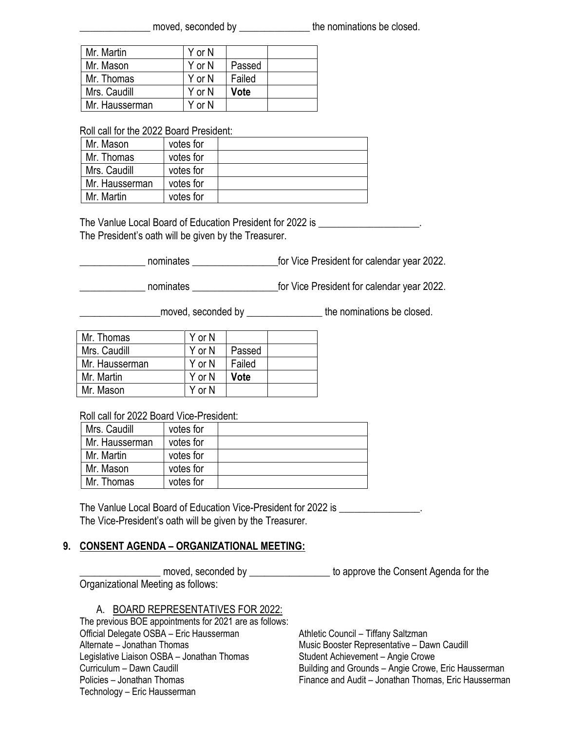moved, seconded by **the nominations be closed.** 

| Mr. Martin     | Y or N |             |  |
|----------------|--------|-------------|--|
| Mr. Mason      | Y or N | Passed      |  |
| Mr. Thomas     | Y or N | Failed      |  |
| Mrs. Caudill   | Y or N | <b>Vote</b> |  |
| Mr. Hausserman | Y or N |             |  |

### Roll call for the 2022 Board President:

| Mr. Mason      | votes for |  |
|----------------|-----------|--|
| Mr. Thomas     | votes for |  |
| Mrs. Caudill   | votes for |  |
| Mr. Hausserman | votes for |  |
| Mr. Martin     | votes for |  |

The Vanlue Local Board of Education President for 2022 is \_\_\_\_\_\_\_\_\_\_\_\_\_\_\_\_\_\_\_\_. The President's oath will be given by the Treasurer.

\_\_\_\_\_\_\_\_\_\_\_\_\_ nominates \_\_\_\_\_\_\_\_\_\_\_\_\_\_\_\_\_for Vice President for calendar year 2022.

nominates **nominates** tor Vice President for calendar year 2022.

\_\_\_\_\_\_\_\_\_\_\_\_\_\_\_\_moved, seconded by \_\_\_\_\_\_\_\_\_\_\_\_\_\_\_ the nominations be closed.

| Y or N |        |  |
|--------|--------|--|
| Y or N | Passed |  |
| Y or N | Failed |  |
| Y or N | Vote   |  |
| Y or N |        |  |
|        |        |  |

Roll call for 2022 Board Vice-President:

| Mrs. Caudill   | votes for |  |
|----------------|-----------|--|
| Mr. Hausserman | votes for |  |
| Mr. Martin     | votes for |  |
| Mr. Mason      | votes for |  |
| Mr. Thomas     | votes for |  |

The Vanlue Local Board of Education Vice-President for 2022 is \_\_\_\_\_\_\_\_\_\_\_\_\_\_\_\_. The Vice-President's oath will be given by the Treasurer.

## **9. CONSENT AGENDA – ORGANIZATIONAL MEETING:**

**EXECUTE:** The moved, seconded by **\_\_\_\_\_\_\_\_\_\_\_\_\_\_\_\_\_\_\_\_\_** to approve the Consent Agenda for the Organizational Meeting as follows:

## A. BOARD REPRESENTATIVES FOR 2022:

The previous BOE appointments for 2021 are as follows: Official Delegate OSBA – Eric Hausserman Alternate – Jonathan Thomas Legislative Liaison OSBA – Jonathan Thomas Curriculum – Dawn Caudill Policies – Jonathan Thomas Technology – Eric Hausserman

Athletic Council – Tiffany Saltzman Music Booster Representative – Dawn Caudill Student Achievement – Angie Crowe Building and Grounds – Angie Crowe, Eric Hausserman Finance and Audit – Jonathan Thomas, Eric Hausserman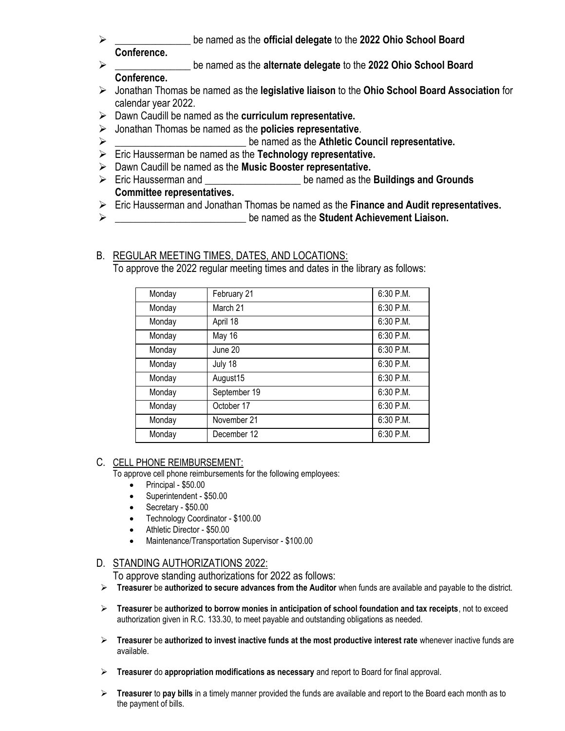- ➢ \_\_\_\_\_\_\_\_\_\_\_\_\_\_\_ be named as the **official delegate** to the **2022 Ohio School Board Conference.**
- ➢ \_\_\_\_\_\_\_\_\_\_\_\_\_\_\_ be named as the **alternate delegate** to the **2022 Ohio School Board Conference.**
- ➢ Jonathan Thomas be named as the **legislative liaison** to the **Ohio School Board Association** for calendar year 2022.
- ➢ Dawn Caudill be named as the **curriculum representative.**
- ➢ Jonathan Thomas be named as the **policies representative**.
- ➢ \_\_\_\_\_\_\_\_\_\_\_\_\_\_\_\_\_\_\_\_\_\_\_\_\_\_ be named as the **Athletic Council representative.**
- ➢ Eric Hausserman be named as the **Technology representative.**
- ➢ Dawn Caudill be named as the **Music Booster representative.**
- ➢ Eric Hausserman and \_\_\_\_\_\_\_\_\_\_\_\_\_\_\_\_\_\_\_ be named as the **Buildings and Grounds Committee representatives.**
- ➢ Eric Hausserman and Jonathan Thomas be named as the **Finance and Audit representatives.**
- ➢ \_\_\_\_\_\_\_\_\_\_\_\_\_\_\_\_\_\_\_\_\_\_\_\_\_\_ be named as the **Student Achievement Liaison.**

# B. REGULAR MEETING TIMES, DATES, AND LOCATIONS:

To approve the 2022 regular meeting times and dates in the library as follows:

| Monday | February 21  | 6:30 P.M.   |
|--------|--------------|-------------|
| Monday | March 21     | 6:30 P.M.   |
| Monday | April 18     | 6:30 P.M.   |
| Monday | May 16       | 6:30 P.M.   |
| Monday | June 20      | 6:30 P.M.   |
| Monday | July 18      | 6:30 P.M.   |
| Monday | August15     | 6:30 P.M.   |
| Monday | September 19 | 6:30 P.M.   |
| Monday | October 17   | 6:30 P.M.   |
| Monday | November 21  | 6:30 P.M.   |
| Monday | December 12  | $6:30$ P.M. |

## C. CELL PHONE REIMBURSEMENT:

To approve cell phone reimbursements for the following employees:

- Principal \$50.00
- Superintendent \$50.00
- Secretary \$50.00
- Technology Coordinator \$100.00
- Athletic Director \$50.00
- Maintenance/Transportation Supervisor \$100.00

## D. STANDING AUTHORIZATIONS 2022:

To approve standing authorizations for 2022 as follows:

- ➢ **Treasurer** be **authorized to secure advances from the Auditor** when funds are available and payable to the district.
- ➢ **Treasurer** be **authorized to borrow monies in anticipation of school foundation and tax receipts**, not to exceed authorization given in R.C. 133.30, to meet payable and outstanding obligations as needed.
- ➢ **Treasurer** be **authorized to invest inactive funds at the most productive interest rate** whenever inactive funds are available.
- ➢ **Treasurer** do **appropriation modifications as necessary** and report to Board for final approval.
- ➢ **Treasurer** to **pay bills** in a timely manner provided the funds are available and report to the Board each month as to the payment of bills.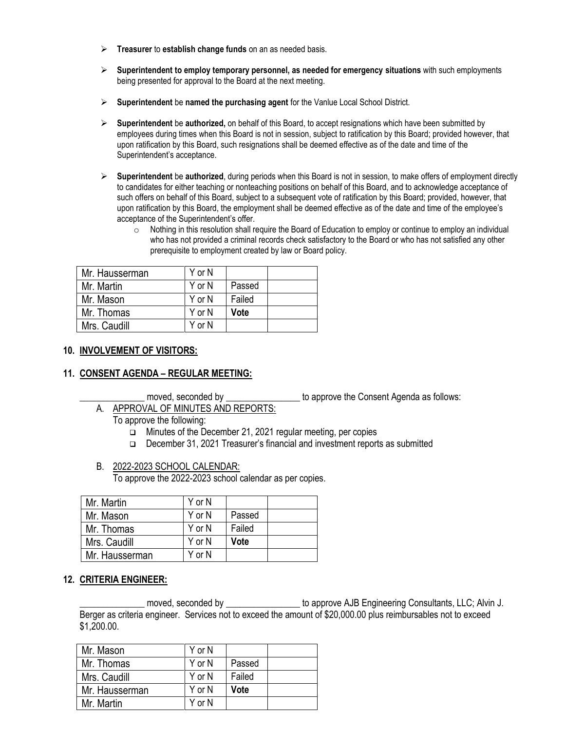- ➢ **Treasurer** to **establish change funds** on an as needed basis.
- ➢ **Superintendent to employ temporary personnel, as needed for emergency situations** with such employments being presented for approval to the Board at the next meeting.
- ➢ **Superintendent** be **named the purchasing agent** for the Vanlue Local School District.
- ➢ **Superintendent** be **authorized,** on behalf of this Board, to accept resignations which have been submitted by employees during times when this Board is not in session, subject to ratification by this Board; provided however, that upon ratification by this Board, such resignations shall be deemed effective as of the date and time of the Superintendent's acceptance.
- ➢ **Superintendent** be **authorized**, during periods when this Board is not in session, to make offers of employment directly to candidates for either teaching or nonteaching positions on behalf of this Board, and to acknowledge acceptance of such offers on behalf of this Board, subject to a subsequent vote of ratification by this Board; provided, however, that upon ratification by this Board, the employment shall be deemed effective as of the date and time of the employee's acceptance of the Superintendent's offer.
	- $\circ$  Nothing in this resolution shall require the Board of Education to employ or continue to employ an individual who has not provided a criminal records check satisfactory to the Board or who has not satisfied any other prerequisite to employment created by law or Board policy.

| Mr. Hausserman | Y or N |        |  |
|----------------|--------|--------|--|
| Mr. Martin     | Y or N | Passed |  |
| Mr. Mason      | Y or N | Failed |  |
| Mr. Thomas     | Y or N | Vote   |  |
| Mrs. Caudill   | Y or N |        |  |

#### **10. INVOLVEMENT OF VISITORS:**

#### **11. CONSENT AGENDA – REGULAR MEETING:**

A. APPROVAL OF MINUTES AND REPORTS:

moved, seconded by **Exercise 20** to approve the Consent Agenda as follows:

- To approve the following:
	- ❑ Minutes of the December 21, 2021 regular meeting, per copies
	- ❑ December 31, 2021 Treasurer's financial and investment reports as submitted

#### B. 2022-2023 SCHOOL CALENDAR:

To approve the 2022-2023 school calendar as per copies.

| Mr. Martin     | Y or N |        |  |
|----------------|--------|--------|--|
| Mr. Mason      | Y or N | Passed |  |
| Mr. Thomas     | Y or N | Failed |  |
| Mrs. Caudill   | Y or N | Vote   |  |
| Mr. Hausserman | Y or N |        |  |

#### **12. CRITERIA ENGINEER:**

\_\_\_\_\_\_\_\_\_\_\_\_\_\_ moved, seconded by \_\_\_\_\_\_\_\_\_\_\_\_\_\_\_\_ to approve AJB Engineering Consultants, LLC; Alvin J. Berger as criteria engineer. Services not to exceed the amount of \$20,000.00 plus reimbursables not to exceed \$1,200.00.

| Mr. Mason      | Y or N |        |  |
|----------------|--------|--------|--|
| Mr. Thomas     | Y or N | Passed |  |
| Mrs. Caudill   | Y or N | Failed |  |
| Mr. Hausserman | Y or N | Vote   |  |
| Mr. Martin     | Y or N |        |  |